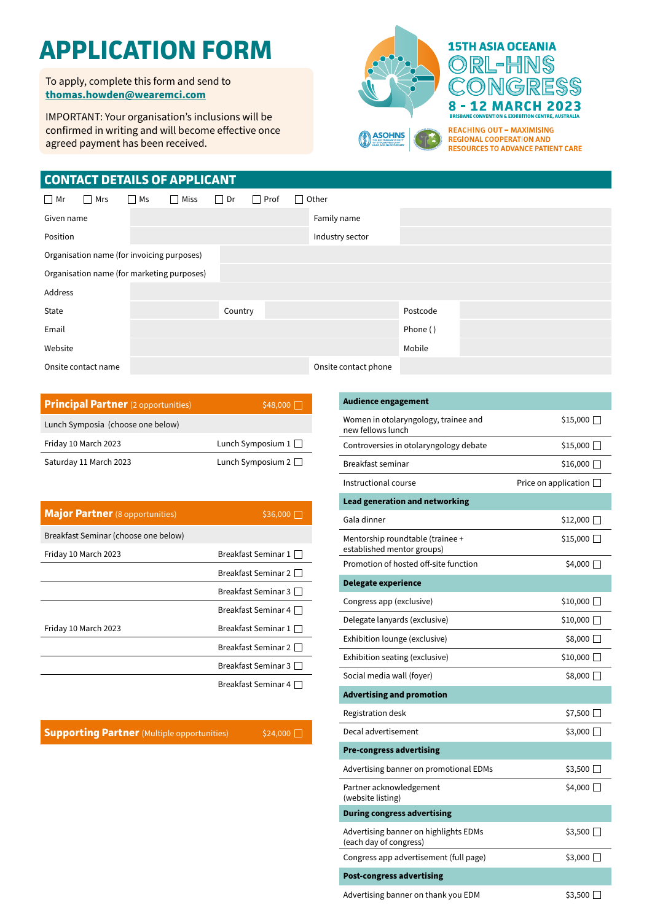# **APPLICATION FORM**

To apply, complete this form and send to **[thomas.howden@wearemci.com](mailto:thomas.howden%40wearemci.com?subject=)**

IMPORTANT: Your organisation's inclusions will be confirmed in writing and will become effective once agreed payment has been received.



8 - 12 MARCH 2023 **BRISBAL EXAMPLE AND STATE OF A STATE OF A STATE AND STATE A LIST CONVENTION & EXHIBITION CENTRE, AUSTRALIA REACHING OUT - MAXIMISING REGIONAL COOPERATION AND RESOURCES TO ADVANCE PATIENT CARE** 

ONGRESS

### **CONTACT DETAILS OF APPLICANT**

| $\Box$ Mr                                  | $\Box$ Mrs          | $\Box$ Ms | $\Box$ Miss | $\Box$ Dr   | $\Box$ Prof | Other                |          |  |  |  |
|--------------------------------------------|---------------------|-----------|-------------|-------------|-------------|----------------------|----------|--|--|--|
| Given name                                 |                     |           |             | Family name |             |                      |          |  |  |  |
| Position                                   |                     |           |             |             |             | Industry sector      |          |  |  |  |
| Organisation name (for invoicing purposes) |                     |           |             |             |             |                      |          |  |  |  |
| Organisation name (for marketing purposes) |                     |           |             |             |             |                      |          |  |  |  |
| Address                                    |                     |           |             |             |             |                      |          |  |  |  |
| State                                      |                     |           |             | Country     |             |                      | Postcode |  |  |  |
| Email                                      |                     |           |             |             |             |                      | Phone () |  |  |  |
| Website                                    |                     |           |             |             |             |                      | Mobile   |  |  |  |
|                                            | Onsite contact name |           |             |             |             | Onsite contact phone |          |  |  |  |

| <b>Principal Partner</b> (2 opportunities) | $$48,000$ $\Box$         |
|--------------------------------------------|--------------------------|
| Lunch Symposia (choose one below)          |                          |
| Friday 10 March 2023                       | Lunch Symposium $1 \Box$ |
| Saturday 11 March 2023                     | Lunch Symposium $2 \Box$ |

| <b>Major Partner</b> (8 opportunities) | \$36,000                   |
|----------------------------------------|----------------------------|
| Breakfast Seminar (choose one below)   |                            |
| Friday 10 March 2023                   | Breakfast Seminar $1 \Box$ |
|                                        | Breakfast Seminar 2        |
|                                        | Breakfast Seminar 3        |
|                                        | Breakfast Seminar 4 □      |
| Friday 10 March 2023                   | Breakfast Seminar 1 □      |
|                                        | Breakfast Seminar 2 $\Box$ |
|                                        | Breakfast Seminar 3        |
|                                        | Breakfast Seminar 4 [      |

**Supporting Partner** (Multiple opportunities) \$24,000

| <b>Audience engagement</b>                                      |                             |
|-----------------------------------------------------------------|-----------------------------|
| Women in otolaryngology, trainee and<br>new fellows lunch       | \$15,000 □                  |
| Controversies in otolaryngology debate                          | \$15,000                    |
| Breakfast seminar                                               | \$16,000 □                  |
| Instructional course                                            | Price on application $\Box$ |
| <b>Lead generation and networking</b>                           |                             |
| Gala dinner                                                     | \$12,000 ∐                  |
| Mentorship roundtable (trainee +<br>established mentor groups)  | $$15,000$ $\Box$            |
| Promotion of hosted off-site function                           | \$4,000 $\Box$              |
| <b>Delegate experience</b>                                      |                             |
| Congress app (exclusive)                                        | \$10,000                    |
| Delegate lanyards (exclusive)                                   | \$10,000                    |
| Exhibition lounge (exclusive)                                   | \$8,000 □                   |
| Exhibition seating (exclusive)                                  | $$10,000$ $\Box$            |
| Social media wall (foyer)                                       | \$8,000 □                   |
| <b>Advertising and promotion</b>                                |                             |
| Registration desk                                               | \$7,500 [ $□$               |
| Decal advertisement                                             | \$3,000 ∏                   |
| <b>Pre-congress advertising</b>                                 |                             |
| Advertising banner on promotional EDMs                          | \$3,500 [                   |
| Partner acknowledgement<br>(website listing)                    | \$4,000                     |
| <b>During congress advertising</b>                              |                             |
| Advertising banner on highlights EDMs<br>(each day of congress) | $$3,500$ $\Box$             |
| Congress app advertisement (full page)                          | \$3,000 □                   |
| <b>Post-congress advertising</b>                                |                             |

Advertising banner on thank you EDM  $$3,500$   $\Box$